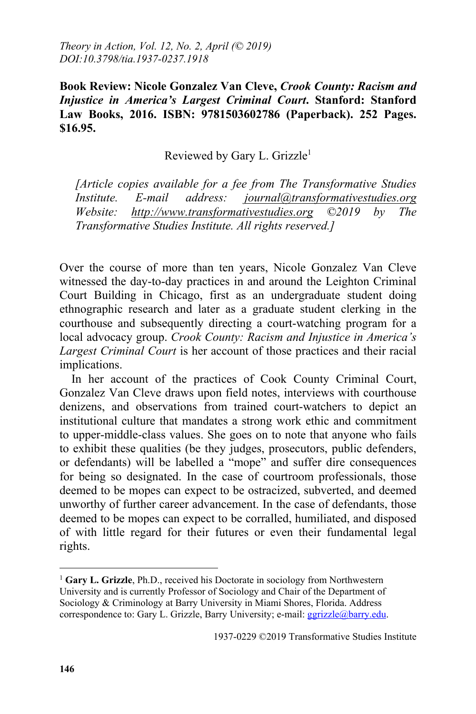*Theory in Action, Vol. 12, No. 2, April (© 2019) DOI:10.3798/tia.1937-0237.1918*

**Book Review: Nicole Gonzalez Van Cleve,** *Crook County: Racism and Injustice in America's Largest Criminal Court***. Stanford: Stanford Law Books, 2016. ISBN: 9781503602786 (Paperback). 252 Pages. \$16.95.**

Reviewed by Gary L. Grizzle<sup>1</sup>

*[Article copies available for a fee from The Transformative Studies Institute. E-mail address: journal@transformativestudies.org Website: http://www.transformativestudies.org ©2019 by The Transformative Studies Institute. All rights reserved.]*

Over the course of more than ten years, Nicole Gonzalez Van Cleve witnessed the day-to-day practices in and around the Leighton Criminal Court Building in Chicago, first as an undergraduate student doing ethnographic research and later as a graduate student clerking in the courthouse and subsequently directing a court-watching program for a local advocacy group. *Crook County: Racism and Injustice in America's Largest Criminal Court* is her account of those practices and their racial implications.

In her account of the practices of Cook County Criminal Court, Gonzalez Van Cleve draws upon field notes, interviews with courthouse denizens, and observations from trained court-watchers to depict an institutional culture that mandates a strong work ethic and commitment to upper-middle-class values. She goes on to note that anyone who fails to exhibit these qualities (be they judges, prosecutors, public defenders, or defendants) will be labelled a "mope" and suffer dire consequences for being so designated. In the case of courtroom professionals, those deemed to be mopes can expect to be ostracized, subverted, and deemed unworthy of further career advancement. In the case of defendants, those deemed to be mopes can expect to be corralled, humiliated, and disposed of with little regard for their futures or even their fundamental legal rights.

 $\overline{a}$ 

<sup>&</sup>lt;sup>1</sup> Gary L. Grizzle, Ph.D., received his Doctorate in sociology from Northwestern University and is currently Professor of Sociology and Chair of the Department of Sociology & Criminology at Barry University in Miami Shores, Florida. Address correspondence to: Gary L. Grizzle, Barry University; e-mail: ggrizzle@barry.edu.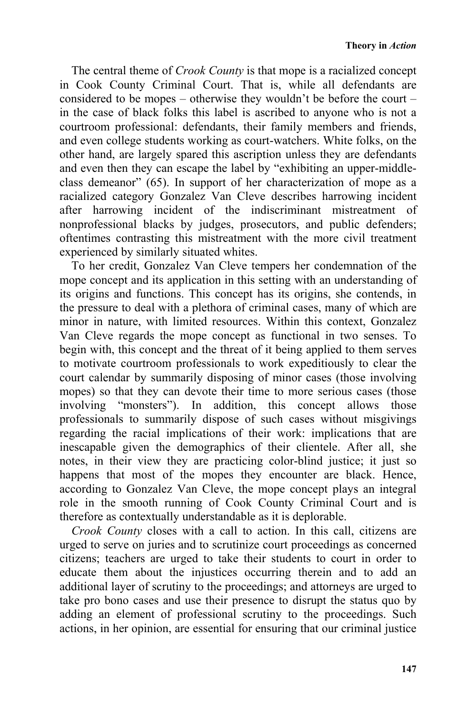The central theme of *Crook County* is that mope is a racialized concept in Cook County Criminal Court. That is, while all defendants are considered to be mopes – otherwise they wouldn't be before the court – in the case of black folks this label is ascribed to anyone who is not a courtroom professional: defendants, their family members and friends, and even college students working as court-watchers. White folks, on the other hand, are largely spared this ascription unless they are defendants and even then they can escape the label by "exhibiting an upper-middleclass demeanor" (65). In support of her characterization of mope as a racialized category Gonzalez Van Cleve describes harrowing incident after harrowing incident of the indiscriminant mistreatment of nonprofessional blacks by judges, prosecutors, and public defenders; oftentimes contrasting this mistreatment with the more civil treatment experienced by similarly situated whites.

To her credit, Gonzalez Van Cleve tempers her condemnation of the mope concept and its application in this setting with an understanding of its origins and functions. This concept has its origins, she contends, in the pressure to deal with a plethora of criminal cases, many of which are minor in nature, with limited resources. Within this context, Gonzalez Van Cleve regards the mope concept as functional in two senses. To begin with, this concept and the threat of it being applied to them serves to motivate courtroom professionals to work expeditiously to clear the court calendar by summarily disposing of minor cases (those involving mopes) so that they can devote their time to more serious cases (those involving "monsters"). In addition, this concept allows those professionals to summarily dispose of such cases without misgivings regarding the racial implications of their work: implications that are inescapable given the demographics of their clientele. After all, she notes, in their view they are practicing color-blind justice; it just so happens that most of the mopes they encounter are black. Hence, according to Gonzalez Van Cleve, the mope concept plays an integral role in the smooth running of Cook County Criminal Court and is therefore as contextually understandable as it is deplorable.

*Crook County* closes with a call to action. In this call, citizens are urged to serve on juries and to scrutinize court proceedings as concerned citizens; teachers are urged to take their students to court in order to educate them about the injustices occurring therein and to add an additional layer of scrutiny to the proceedings; and attorneys are urged to take pro bono cases and use their presence to disrupt the status quo by adding an element of professional scrutiny to the proceedings. Such actions, in her opinion, are essential for ensuring that our criminal justice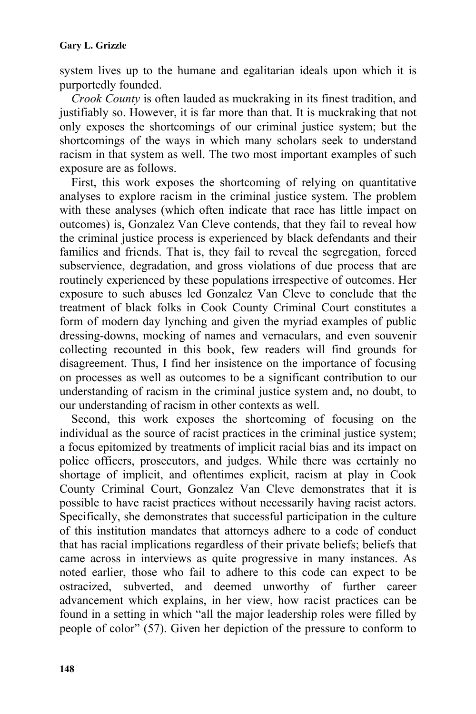system lives up to the humane and egalitarian ideals upon which it is purportedly founded.

*Crook County* is often lauded as muckraking in its finest tradition, and justifiably so. However, it is far more than that. It is muckraking that not only exposes the shortcomings of our criminal justice system; but the shortcomings of the ways in which many scholars seek to understand racism in that system as well. The two most important examples of such exposure are as follows.

First, this work exposes the shortcoming of relying on quantitative analyses to explore racism in the criminal justice system. The problem with these analyses (which often indicate that race has little impact on outcomes) is, Gonzalez Van Cleve contends, that they fail to reveal how the criminal justice process is experienced by black defendants and their families and friends. That is, they fail to reveal the segregation, forced subservience, degradation, and gross violations of due process that are routinely experienced by these populations irrespective of outcomes. Her exposure to such abuses led Gonzalez Van Cleve to conclude that the treatment of black folks in Cook County Criminal Court constitutes a form of modern day lynching and given the myriad examples of public dressing-downs, mocking of names and vernaculars, and even souvenir collecting recounted in this book, few readers will find grounds for disagreement. Thus, I find her insistence on the importance of focusing on processes as well as outcomes to be a significant contribution to our understanding of racism in the criminal justice system and, no doubt, to our understanding of racism in other contexts as well.

Second, this work exposes the shortcoming of focusing on the individual as the source of racist practices in the criminal justice system; a focus epitomized by treatments of implicit racial bias and its impact on police officers, prosecutors, and judges. While there was certainly no shortage of implicit, and oftentimes explicit, racism at play in Cook County Criminal Court, Gonzalez Van Cleve demonstrates that it is possible to have racist practices without necessarily having racist actors. Specifically, she demonstrates that successful participation in the culture of this institution mandates that attorneys adhere to a code of conduct that has racial implications regardless of their private beliefs; beliefs that came across in interviews as quite progressive in many instances. As noted earlier, those who fail to adhere to this code can expect to be ostracized, subverted, and deemed unworthy of further career advancement which explains, in her view, how racist practices can be found in a setting in which "all the major leadership roles were filled by people of color" (57). Given her depiction of the pressure to conform to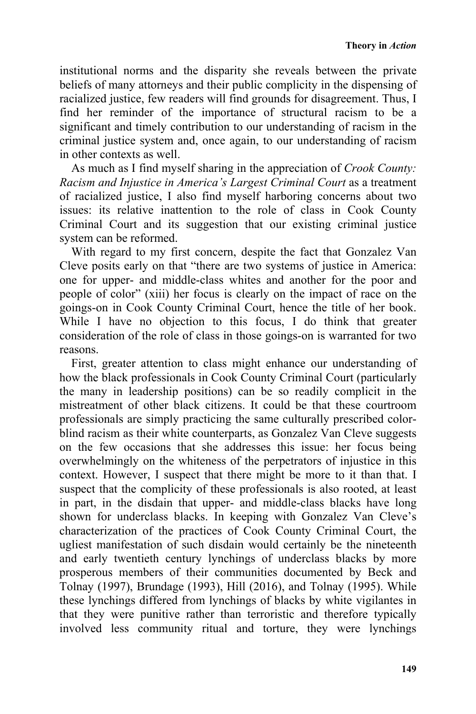institutional norms and the disparity she reveals between the private beliefs of many attorneys and their public complicity in the dispensing of racialized justice, few readers will find grounds for disagreement. Thus, I find her reminder of the importance of structural racism to be a significant and timely contribution to our understanding of racism in the criminal justice system and, once again, to our understanding of racism in other contexts as well.

As much as I find myself sharing in the appreciation of *Crook County: Racism and Injustice in America's Largest Criminal Court* as a treatment of racialized justice, I also find myself harboring concerns about two issues: its relative inattention to the role of class in Cook County Criminal Court and its suggestion that our existing criminal justice system can be reformed.

With regard to my first concern, despite the fact that Gonzalez Van Cleve posits early on that "there are two systems of justice in America: one for upper- and middle-class whites and another for the poor and people of color" (xiii) her focus is clearly on the impact of race on the goings-on in Cook County Criminal Court, hence the title of her book. While I have no objection to this focus, I do think that greater consideration of the role of class in those goings-on is warranted for two reasons.

First, greater attention to class might enhance our understanding of how the black professionals in Cook County Criminal Court (particularly the many in leadership positions) can be so readily complicit in the mistreatment of other black citizens. It could be that these courtroom professionals are simply practicing the same culturally prescribed colorblind racism as their white counterparts, as Gonzalez Van Cleve suggests on the few occasions that she addresses this issue: her focus being overwhelmingly on the whiteness of the perpetrators of injustice in this context. However, I suspect that there might be more to it than that. I suspect that the complicity of these professionals is also rooted, at least in part, in the disdain that upper- and middle-class blacks have long shown for underclass blacks. In keeping with Gonzalez Van Cleve's characterization of the practices of Cook County Criminal Court, the ugliest manifestation of such disdain would certainly be the nineteenth and early twentieth century lynchings of underclass blacks by more prosperous members of their communities documented by Beck and Tolnay (1997), Brundage (1993), Hill (2016), and Tolnay (1995). While these lynchings differed from lynchings of blacks by white vigilantes in that they were punitive rather than terroristic and therefore typically involved less community ritual and torture, they were lynchings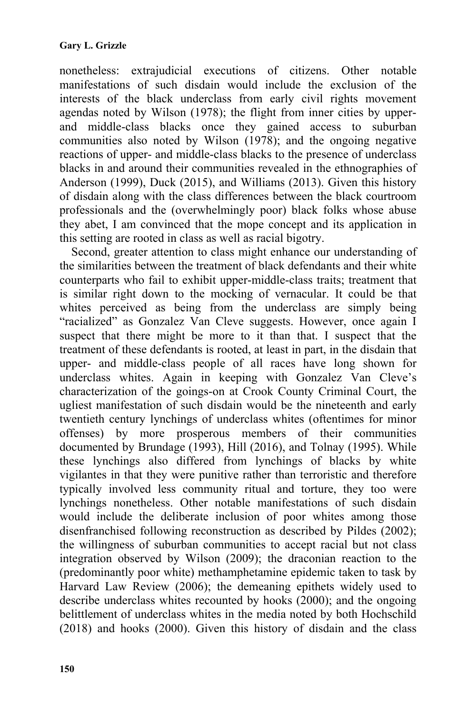nonetheless: extrajudicial executions of citizens. Other notable manifestations of such disdain would include the exclusion of the interests of the black underclass from early civil rights movement agendas noted by Wilson (1978); the flight from inner cities by upperand middle-class blacks once they gained access to suburban communities also noted by Wilson (1978); and the ongoing negative reactions of upper- and middle-class blacks to the presence of underclass blacks in and around their communities revealed in the ethnographies of Anderson (1999), Duck (2015), and Williams (2013). Given this history of disdain along with the class differences between the black courtroom professionals and the (overwhelmingly poor) black folks whose abuse they abet, I am convinced that the mope concept and its application in this setting are rooted in class as well as racial bigotry.

Second, greater attention to class might enhance our understanding of the similarities between the treatment of black defendants and their white counterparts who fail to exhibit upper-middle-class traits; treatment that is similar right down to the mocking of vernacular. It could be that whites perceived as being from the underclass are simply being "racialized" as Gonzalez Van Cleve suggests. However, once again I suspect that there might be more to it than that. I suspect that the treatment of these defendants is rooted, at least in part, in the disdain that upper- and middle-class people of all races have long shown for underclass whites. Again in keeping with Gonzalez Van Cleve's characterization of the goings-on at Crook County Criminal Court, the ugliest manifestation of such disdain would be the nineteenth and early twentieth century lynchings of underclass whites (oftentimes for minor offenses) by more prosperous members of their communities documented by Brundage (1993), Hill (2016), and Tolnay (1995). While these lynchings also differed from lynchings of blacks by white vigilantes in that they were punitive rather than terroristic and therefore typically involved less community ritual and torture, they too were lynchings nonetheless. Other notable manifestations of such disdain would include the deliberate inclusion of poor whites among those disenfranchised following reconstruction as described by Pildes (2002); the willingness of suburban communities to accept racial but not class integration observed by Wilson (2009); the draconian reaction to the (predominantly poor white) methamphetamine epidemic taken to task by Harvard Law Review (2006); the demeaning epithets widely used to describe underclass whites recounted by hooks (2000); and the ongoing belittlement of underclass whites in the media noted by both Hochschild (2018) and hooks (2000). Given this history of disdain and the class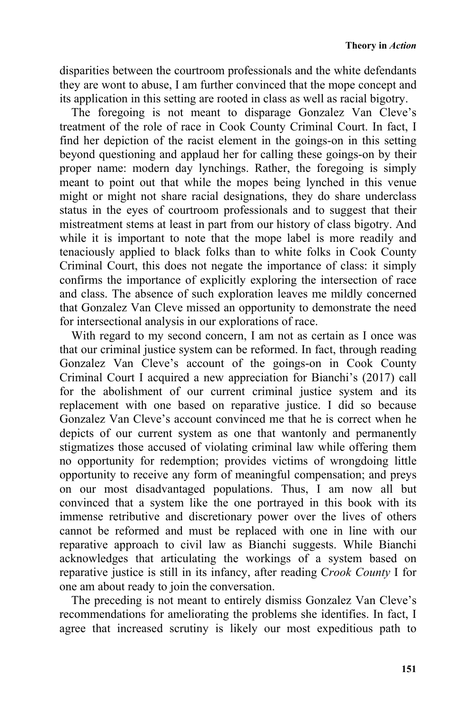disparities between the courtroom professionals and the white defendants they are wont to abuse, I am further convinced that the mope concept and its application in this setting are rooted in class as well as racial bigotry.

The foregoing is not meant to disparage Gonzalez Van Cleve's treatment of the role of race in Cook County Criminal Court. In fact, I find her depiction of the racist element in the goings-on in this setting beyond questioning and applaud her for calling these goings-on by their proper name: modern day lynchings. Rather, the foregoing is simply meant to point out that while the mopes being lynched in this venue might or might not share racial designations, they do share underclass status in the eyes of courtroom professionals and to suggest that their mistreatment stems at least in part from our history of class bigotry. And while it is important to note that the mope label is more readily and tenaciously applied to black folks than to white folks in Cook County Criminal Court, this does not negate the importance of class: it simply confirms the importance of explicitly exploring the intersection of race and class. The absence of such exploration leaves me mildly concerned that Gonzalez Van Cleve missed an opportunity to demonstrate the need for intersectional analysis in our explorations of race.

With regard to my second concern, I am not as certain as I once was that our criminal justice system can be reformed. In fact, through reading Gonzalez Van Cleve's account of the goings-on in Cook County Criminal Court I acquired a new appreciation for Bianchi's (2017) call for the abolishment of our current criminal justice system and its replacement with one based on reparative justice. I did so because Gonzalez Van Cleve's account convinced me that he is correct when he depicts of our current system as one that wantonly and permanently stigmatizes those accused of violating criminal law while offering them no opportunity for redemption; provides victims of wrongdoing little opportunity to receive any form of meaningful compensation; and preys on our most disadvantaged populations. Thus, I am now all but convinced that a system like the one portrayed in this book with its immense retributive and discretionary power over the lives of others cannot be reformed and must be replaced with one in line with our reparative approach to civil law as Bianchi suggests. While Bianchi acknowledges that articulating the workings of a system based on reparative justice is still in its infancy, after reading C*rook County* I for one am about ready to join the conversation.

The preceding is not meant to entirely dismiss Gonzalez Van Cleve's recommendations for ameliorating the problems she identifies. In fact, I agree that increased scrutiny is likely our most expeditious path to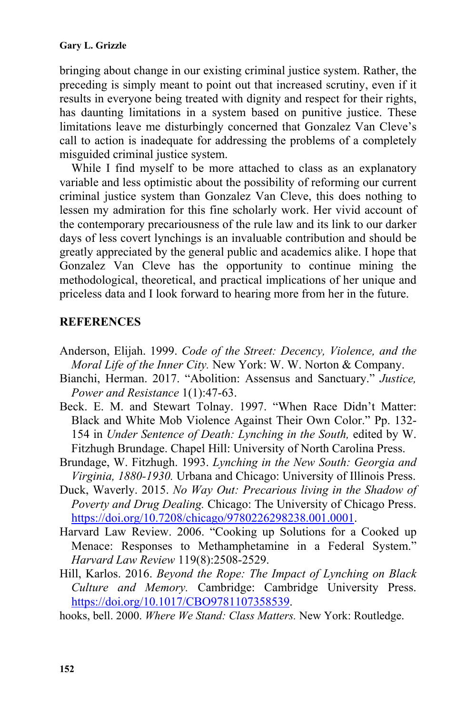## **Gary L. Grizzle**

bringing about change in our existing criminal justice system. Rather, the preceding is simply meant to point out that increased scrutiny, even if it results in everyone being treated with dignity and respect for their rights, has daunting limitations in a system based on punitive justice. These limitations leave me disturbingly concerned that Gonzalez Van Cleve's call to action is inadequate for addressing the problems of a completely misguided criminal justice system.

While I find myself to be more attached to class as an explanatory variable and less optimistic about the possibility of reforming our current criminal justice system than Gonzalez Van Cleve, this does nothing to lessen my admiration for this fine scholarly work. Her vivid account of the contemporary precariousness of the rule law and its link to our darker days of less covert lynchings is an invaluable contribution and should be greatly appreciated by the general public and academics alike. I hope that Gonzalez Van Cleve has the opportunity to continue mining the methodological, theoretical, and practical implications of her unique and priceless data and I look forward to hearing more from her in the future.

## **REFERENCES**

- Anderson, Elijah. 1999. *Code of the Street: Decency, Violence, and the Moral Life of the Inner City.* New York: W. W. Norton & Company.
- Bianchi, Herman. 2017. "Abolition: Assensus and Sanctuary." *Justice, Power and Resistance* 1(1):47-63.
- Beck. E. M. and Stewart Tolnay. 1997. "When Race Didn't Matter: Black and White Mob Violence Against Their Own Color." Pp. 132- 154 in *Under Sentence of Death: Lynching in the South,* edited by W. Fitzhugh Brundage. Chapel Hill: University of North Carolina Press.
- Brundage, W. Fitzhugh. 1993. *Lynching in the New South: Georgia and Virginia, 1880-1930.* Urbana and Chicago: University of Illinois Press.
- Duck, Waverly. 2015. *No Way Out: Precarious living in the Shadow of Poverty and Drug Dealing.* Chicago: The University of Chicago Press. https://doi.org/10.7208/chicago/9780226298238.001.0001.
- Harvard Law Review. 2006. "Cooking up Solutions for a Cooked up Menace: Responses to Methamphetamine in a Federal System." *Harvard Law Review* 119(8):2508-2529.
- Hill, Karlos. 2016. *Beyond the Rope: The Impact of Lynching on Black Culture and Memory.* Cambridge: Cambridge University Press. https://doi.org/10.1017/CBO9781107358539.
- hooks, bell. 2000. *Where We Stand: Class Matters.* New York: Routledge.